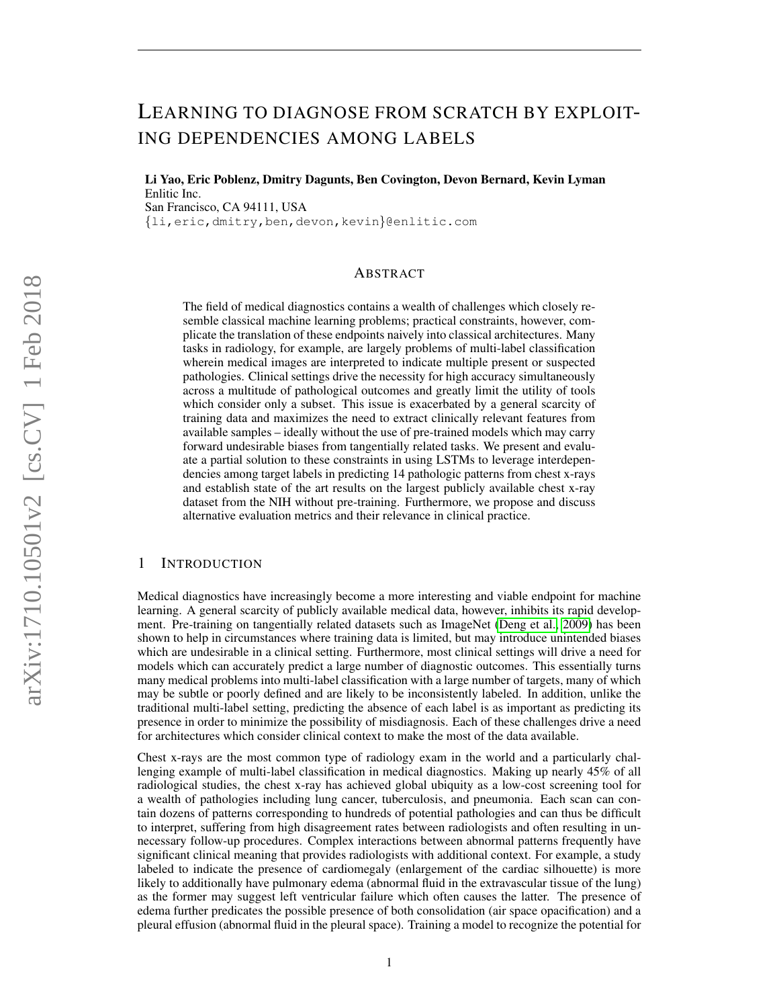# LEARNING TO DIAGNOSE FROM SCRATCH BY EXPLOIT-ING DEPENDENCIES AMONG LABELS

Li Yao, Eric Poblenz, Dmitry Dagunts, Ben Covington, Devon Bernard, Kevin Lyman Enlitic Inc. San Francisco, CA 94111, USA {li,eric,dmitry,ben,devon,kevin}@enlitic.com

# ABSTRACT

The field of medical diagnostics contains a wealth of challenges which closely resemble classical machine learning problems; practical constraints, however, complicate the translation of these endpoints naively into classical architectures. Many tasks in radiology, for example, are largely problems of multi-label classification wherein medical images are interpreted to indicate multiple present or suspected pathologies. Clinical settings drive the necessity for high accuracy simultaneously across a multitude of pathological outcomes and greatly limit the utility of tools which consider only a subset. This issue is exacerbated by a general scarcity of training data and maximizes the need to extract clinically relevant features from available samples – ideally without the use of pre-trained models which may carry forward undesirable biases from tangentially related tasks. We present and evaluate a partial solution to these constraints in using LSTMs to leverage interdependencies among target labels in predicting 14 pathologic patterns from chest x-rays and establish state of the art results on the largest publicly available chest x-ray dataset from the NIH without pre-training. Furthermore, we propose and discuss alternative evaluation metrics and their relevance in clinical practice.

## <span id="page-0-0"></span>1 INTRODUCTION

Medical diagnostics have increasingly become a more interesting and viable endpoint for machine learning. A general scarcity of publicly available medical data, however, inhibits its rapid development. Pre-training on tangentially related datasets such as ImageNet [\(Deng et al., 2009\)](#page-9-0) has been shown to help in circumstances where training data is limited, but may introduce unintended biases which are undesirable in a clinical setting. Furthermore, most clinical settings will drive a need for models which can accurately predict a large number of diagnostic outcomes. This essentially turns many medical problems into multi-label classification with a large number of targets, many of which may be subtle or poorly defined and are likely to be inconsistently labeled. In addition, unlike the traditional multi-label setting, predicting the absence of each label is as important as predicting its presence in order to minimize the possibility of misdiagnosis. Each of these challenges drive a need for architectures which consider clinical context to make the most of the data available.

Chest x-rays are the most common type of radiology exam in the world and a particularly challenging example of multi-label classification in medical diagnostics. Making up nearly 45% of all radiological studies, the chest x-ray has achieved global ubiquity as a low-cost screening tool for a wealth of pathologies including lung cancer, tuberculosis, and pneumonia. Each scan can contain dozens of patterns corresponding to hundreds of potential pathologies and can thus be difficult to interpret, suffering from high disagreement rates between radiologists and often resulting in unnecessary follow-up procedures. Complex interactions between abnormal patterns frequently have significant clinical meaning that provides radiologists with additional context. For example, a study labeled to indicate the presence of cardiomegaly (enlargement of the cardiac silhouette) is more likely to additionally have pulmonary edema (abnormal fluid in the extravascular tissue of the lung) as the former may suggest left ventricular failure which often causes the latter. The presence of edema further predicates the possible presence of both consolidation (air space opacification) and a pleural effusion (abnormal fluid in the pleural space). Training a model to recognize the potential for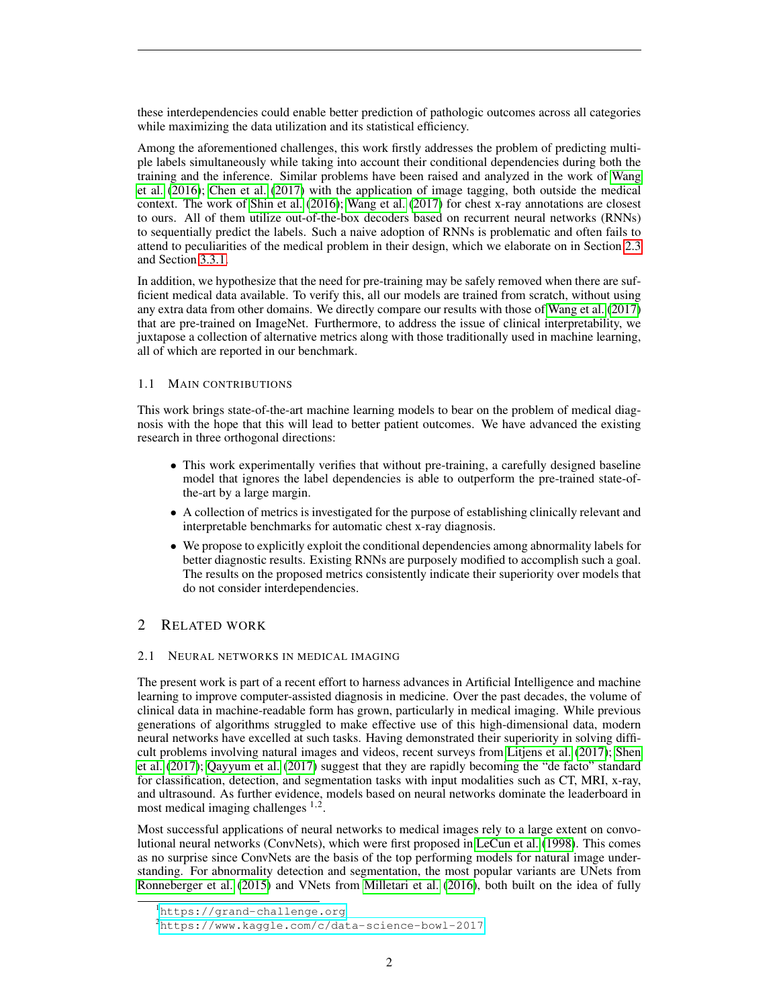these interdependencies could enable better prediction of pathologic outcomes across all categories while maximizing the data utilization and its statistical efficiency.

Among the aforementioned challenges, this work firstly addresses the problem of predicting multiple labels simultaneously while taking into account their conditional dependencies during both the training and the inference. Similar problems have been raised and analyzed in the work of [Wang](#page-11-0) [et al.](#page-11-0) [\(2016\)](#page-11-0); [Chen et al.](#page-9-1) [\(2017\)](#page-9-1) with the application of image tagging, both outside the medical context. The work of [Shin et al.](#page-10-0) [\(2016\)](#page-10-0); [Wang et al.](#page-11-1) [\(2017\)](#page-11-1) for chest x-ray annotations are closest to ours. All of them utilize out-of-the-box decoders based on recurrent neural networks (RNNs) to sequentially predict the labels. Such a naive adoption of RNNs is problematic and often fails to attend to peculiarities of the medical problem in their design, which we elaborate on in Section [2.3](#page-2-0) and Section [3.3.1.](#page-5-0)

In addition, we hypothesize that the need for pre-training may be safely removed when there are sufficient medical data available. To verify this, all our models are trained from scratch, without using any extra data from other domains. We directly compare our results with those of [Wang et al.](#page-11-1) [\(2017\)](#page-11-1) that are pre-trained on ImageNet. Furthermore, to address the issue of clinical interpretability, we juxtapose a collection of alternative metrics along with those traditionally used in machine learning, all of which are reported in our benchmark.

## 1.1 MAIN CONTRIBUTIONS

This work brings state-of-the-art machine learning models to bear on the problem of medical diagnosis with the hope that this will lead to better patient outcomes. We have advanced the existing research in three orthogonal directions:

- This work experimentally verifies that without pre-training, a carefully designed baseline model that ignores the label dependencies is able to outperform the pre-trained state-ofthe-art by a large margin.
- A collection of metrics is investigated for the purpose of establishing clinically relevant and interpretable benchmarks for automatic chest x-ray diagnosis.
- We propose to explicitly exploit the conditional dependencies among abnormality labels for better diagnostic results. Existing RNNs are purposely modified to accomplish such a goal. The results on the proposed metrics consistently indicate their superiority over models that do not consider interdependencies.

# 2 RELATED WORK

## 2.1 NEURAL NETWORKS IN MEDICAL IMAGING

The present work is part of a recent effort to harness advances in Artificial Intelligence and machine learning to improve computer-assisted diagnosis in medicine. Over the past decades, the volume of clinical data in machine-readable form has grown, particularly in medical imaging. While previous generations of algorithms struggled to make effective use of this high-dimensional data, modern neural networks have excelled at such tasks. Having demonstrated their superiority in solving difficult problems involving natural images and videos, recent surveys from [Litjens et al.](#page-10-1) [\(2017\)](#page-10-1); [Shen](#page-10-2) [et al.](#page-10-2) [\(2017\)](#page-10-2); [Qayyum et al.](#page-10-3) [\(2017\)](#page-10-3) suggest that they are rapidly becoming the "de facto" standard for classification, detection, and segmentation tasks with input modalities such as CT, MRI, x-ray, and ultrasound. As further evidence, models based on neural networks dominate the leaderboard in most medical imaging challenges  $1,2$ .

Most successful applications of neural networks to medical images rely to a large extent on convolutional neural networks (ConvNets), which were first proposed in [LeCun et al.](#page-10-4) [\(1998\)](#page-10-4). This comes as no surprise since ConvNets are the basis of the top performing models for natural image understanding. For abnormality detection and segmentation, the most popular variants are UNets from [Ronneberger et al.](#page-10-5) [\(2015\)](#page-10-5) and VNets from [Milletari et al.](#page-10-6) [\(2016\)](#page-10-6), both built on the idea of fully

<sup>1</sup><https://grand-challenge.org>

<sup>2</sup><https://www.kaggle.com/c/data-science-bowl-2017>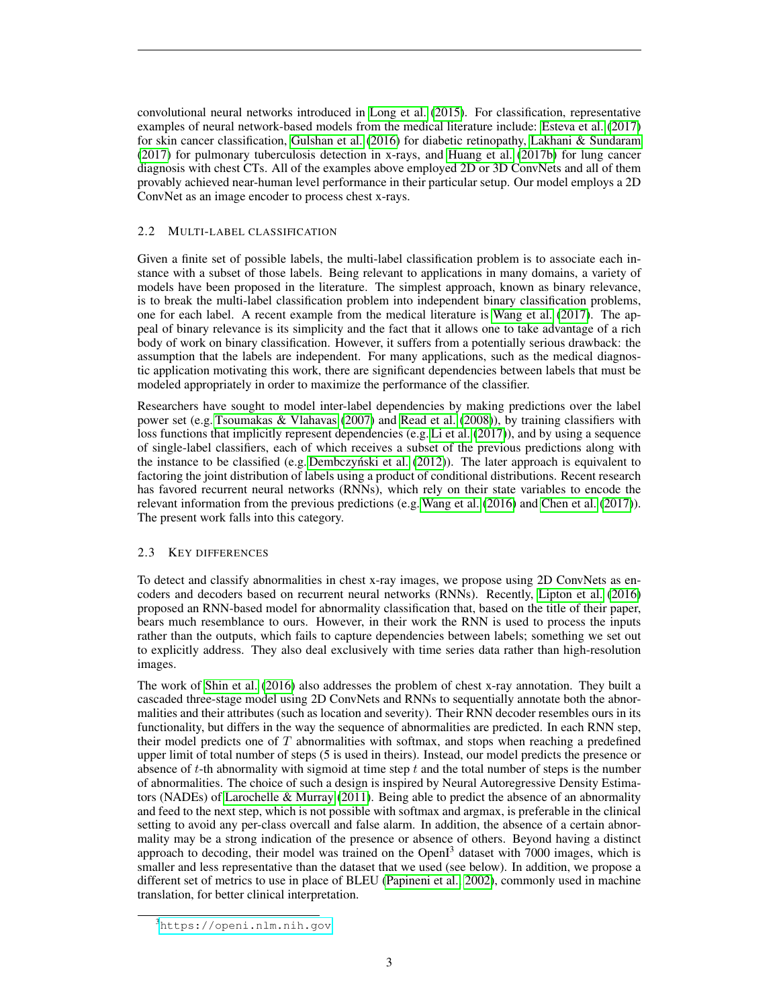convolutional neural networks introduced in [Long et al.](#page-10-7) [\(2015\)](#page-10-7). For classification, representative examples of neural network-based models from the medical literature include: [Esteva et al.](#page-9-2) [\(2017\)](#page-9-2) for skin cancer classification, [Gulshan et al.](#page-9-3) [\(2016\)](#page-9-3) for diabetic retinopathy, [Lakhani & Sundaram](#page-10-8) [\(2017\)](#page-10-8) for pulmonary tuberculosis detection in x-rays, and [Huang et al.](#page-10-9) [\(2017b\)](#page-10-9) for lung cancer diagnosis with chest CTs. All of the examples above employed 2D or 3D ConvNets and all of them provably achieved near-human level performance in their particular setup. Our model employs a 2D ConvNet as an image encoder to process chest x-rays.

## 2.2 MULTI-LABEL CLASSIFICATION

Given a finite set of possible labels, the multi-label classification problem is to associate each instance with a subset of those labels. Being relevant to applications in many domains, a variety of models have been proposed in the literature. The simplest approach, known as binary relevance, is to break the multi-label classification problem into independent binary classification problems, one for each label. A recent example from the medical literature is [Wang et al.](#page-11-1) [\(2017\)](#page-11-1). The appeal of binary relevance is its simplicity and the fact that it allows one to take advantage of a rich body of work on binary classification. However, it suffers from a potentially serious drawback: the assumption that the labels are independent. For many applications, such as the medical diagnostic application motivating this work, there are significant dependencies between labels that must be modeled appropriately in order to maximize the performance of the classifier.

Researchers have sought to model inter-label dependencies by making predictions over the label power set (e.g. [Tsoumakas & Vlahavas](#page-11-2) [\(2007\)](#page-11-2) and [Read et al.](#page-10-10) [\(2008\)](#page-10-10)), by training classifiers with loss functions that implicitly represent dependencies (e.g. [Li et al.](#page-10-11) [\(2017\)](#page-10-11)), and by using a sequence of single-label classifiers, each of which receives a subset of the previous predictions along with the instance to be classified (e.g. Dembczyński et al. [\(2012\)](#page-9-4)). The later approach is equivalent to factoring the joint distribution of labels using a product of conditional distributions. Recent research has favored recurrent neural networks (RNNs), which rely on their state variables to encode the relevant information from the previous predictions (e.g. [Wang et al.](#page-11-0) [\(2016\)](#page-11-0) and [Chen et al.](#page-9-1) [\(2017\)](#page-9-1)). The present work falls into this category.

## <span id="page-2-0"></span>2.3 KEY DIFFERENCES

To detect and classify abnormalities in chest x-ray images, we propose using 2D ConvNets as encoders and decoders based on recurrent neural networks (RNNs). Recently, [Lipton et al.](#page-10-12) [\(2016\)](#page-10-12) proposed an RNN-based model for abnormality classification that, based on the title of their paper, bears much resemblance to ours. However, in their work the RNN is used to process the inputs rather than the outputs, which fails to capture dependencies between labels; something we set out to explicitly address. They also deal exclusively with time series data rather than high-resolution images.

The work of [Shin et al.](#page-10-0) [\(2016\)](#page-10-0) also addresses the problem of chest x-ray annotation. They built a cascaded three-stage model using 2D ConvNets and RNNs to sequentially annotate both the abnormalities and their attributes (such as location and severity). Their RNN decoder resembles ours in its functionality, but differs in the way the sequence of abnormalities are predicted. In each RNN step, their model predicts one of  $T$  abnormalities with softmax, and stops when reaching a predefined upper limit of total number of steps (5 is used in theirs). Instead, our model predicts the presence or absence of  $t$ -th abnormality with sigmoid at time step  $t$  and the total number of steps is the number of abnormalities. The choice of such a design is inspired by Neural Autoregressive Density Estimators (NADEs) of [Larochelle & Murray](#page-10-13) [\(2011\)](#page-10-13). Being able to predict the absence of an abnormality and feed to the next step, which is not possible with softmax and argmax, is preferable in the clinical setting to avoid any per-class overcall and false alarm. In addition, the absence of a certain abnormality may be a strong indication of the presence or absence of others. Beyond having a distinct approach to decoding, their model was trained on the  $OpenI<sup>3</sup>$  dataset with 7000 images, which is smaller and less representative than the dataset that we used (see below). In addition, we propose a different set of metrics to use in place of BLEU [\(Papineni et al., 2002\)](#page-10-14), commonly used in machine translation, for better clinical interpretation.

<sup>3</sup><https://openi.nlm.nih.gov>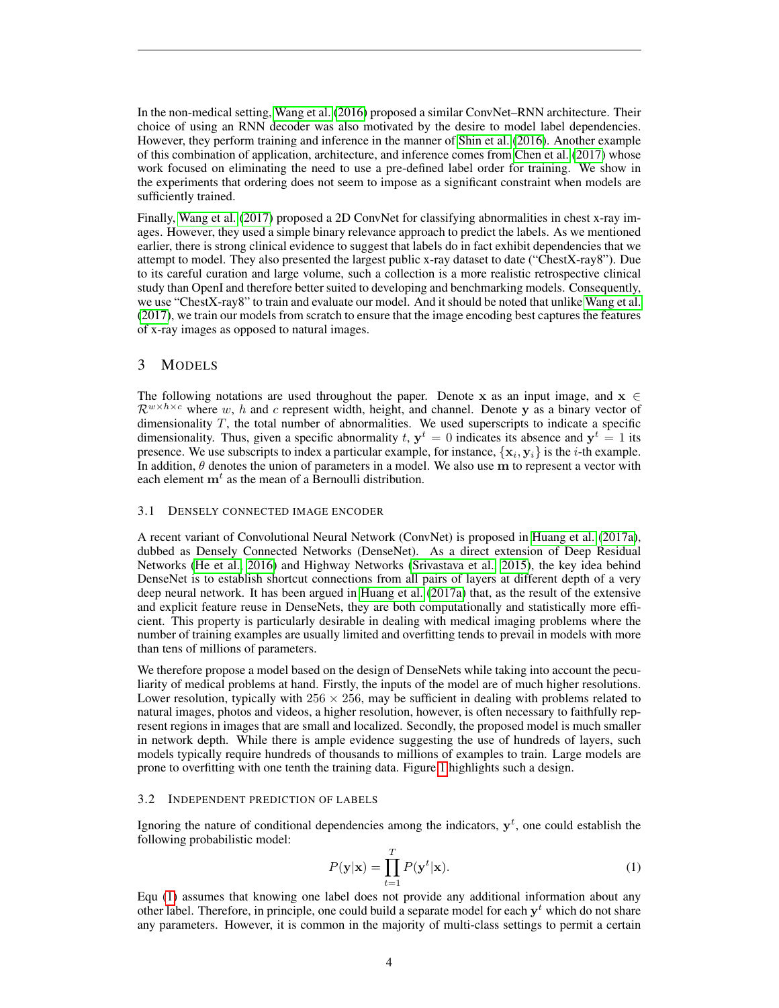In the non-medical setting, [Wang et al.](#page-11-0) [\(2016\)](#page-11-0) proposed a similar ConvNet–RNN architecture. Their choice of using an RNN decoder was also motivated by the desire to model label dependencies. However, they perform training and inference in the manner of [Shin et al.](#page-10-0) [\(2016\)](#page-10-0). Another example of this combination of application, architecture, and inference comes from [Chen et al.](#page-9-1) [\(2017\)](#page-9-1) whose work focused on eliminating the need to use a pre-defined label order for training. We show in the experiments that ordering does not seem to impose as a significant constraint when models are sufficiently trained.

Finally, [Wang et al.](#page-11-1) [\(2017\)](#page-11-1) proposed a 2D ConvNet for classifying abnormalities in chest x-ray images. However, they used a simple binary relevance approach to predict the labels. As we mentioned earlier, there is strong clinical evidence to suggest that labels do in fact exhibit dependencies that we attempt to model. They also presented the largest public x-ray dataset to date ("ChestX-ray8"). Due to its careful curation and large volume, such a collection is a more realistic retrospective clinical study than OpenI and therefore better suited to developing and benchmarking models. Consequently, we use "ChestX-ray8" to train and evaluate our model. And it should be noted that unlike [Wang et al.](#page-11-1) [\(2017\)](#page-11-1), we train our models from scratch to ensure that the image encoding best captures the features of x-ray images as opposed to natural images.

## 3 MODELS

The following notations are used throughout the paper. Denote x as an input image, and  $x \in$  $\mathcal{R}^{w \times h \times c}$  where w, h and c represent width, height, and channel. Denote y as a binary vector of dimensionality  $T$ , the total number of abnormalities. We used superscripts to indicate a specific dimensionality. Thus, given a specific abnormality t,  $y^t = 0$  indicates its absence and  $y^t = 1$  its presence. We use subscripts to index a particular example, for instance,  $\{x_i, y_i\}$  is the *i*-th example. In addition,  $\theta$  denotes the union of parameters in a model. We also use m to represent a vector with each element  $\mathbf{m}^t$  as the mean of a Bernoulli distribution.

#### 3.1 DENSELY CONNECTED IMAGE ENCODER

A recent variant of Convolutional Neural Network (ConvNet) is proposed in [Huang et al.](#page-9-5) [\(2017a\)](#page-9-5), dubbed as Densely Connected Networks (DenseNet). As a direct extension of Deep Residual Networks [\(He et al., 2016\)](#page-9-6) and Highway Networks [\(Srivastava et al., 2015\)](#page-10-15), the key idea behind DenseNet is to establish shortcut connections from all pairs of layers at different depth of a very deep neural network. It has been argued in [Huang et al.](#page-9-5) [\(2017a\)](#page-9-5) that, as the result of the extensive and explicit feature reuse in DenseNets, they are both computationally and statistically more efficient. This property is particularly desirable in dealing with medical imaging problems where the number of training examples are usually limited and overfitting tends to prevail in models with more than tens of millions of parameters.

We therefore propose a model based on the design of DenseNets while taking into account the peculiarity of medical problems at hand. Firstly, the inputs of the model are of much higher resolutions. Lower resolution, typically with  $256 \times 256$ , may be sufficient in dealing with problems related to natural images, photos and videos, a higher resolution, however, is often necessary to faithfully represent regions in images that are small and localized. Secondly, the proposed model is much smaller in network depth. While there is ample evidence suggesting the use of hundreds of layers, such models typically require hundreds of thousands to millions of examples to train. Large models are prone to overfitting with one tenth the training data. Figure [1](#page-4-0) highlights such a design.

#### <span id="page-3-1"></span>3.2 INDEPENDENT PREDICTION OF LABELS

Ignoring the nature of conditional dependencies among the indicators,  $y<sup>t</sup>$ , one could establish the following probabilistic model:

<span id="page-3-0"></span>
$$
P(\mathbf{y}|\mathbf{x}) = \prod_{t=1}^{T} P(\mathbf{y}^t|\mathbf{x}).
$$
\n(1)

Equ [\(1\)](#page-3-0) assumes that knowing one label does not provide any additional information about any other label. Therefore, in principle, one could build a separate model for each  $y<sup>t</sup>$  which do not share any parameters. However, it is common in the majority of multi-class settings to permit a certain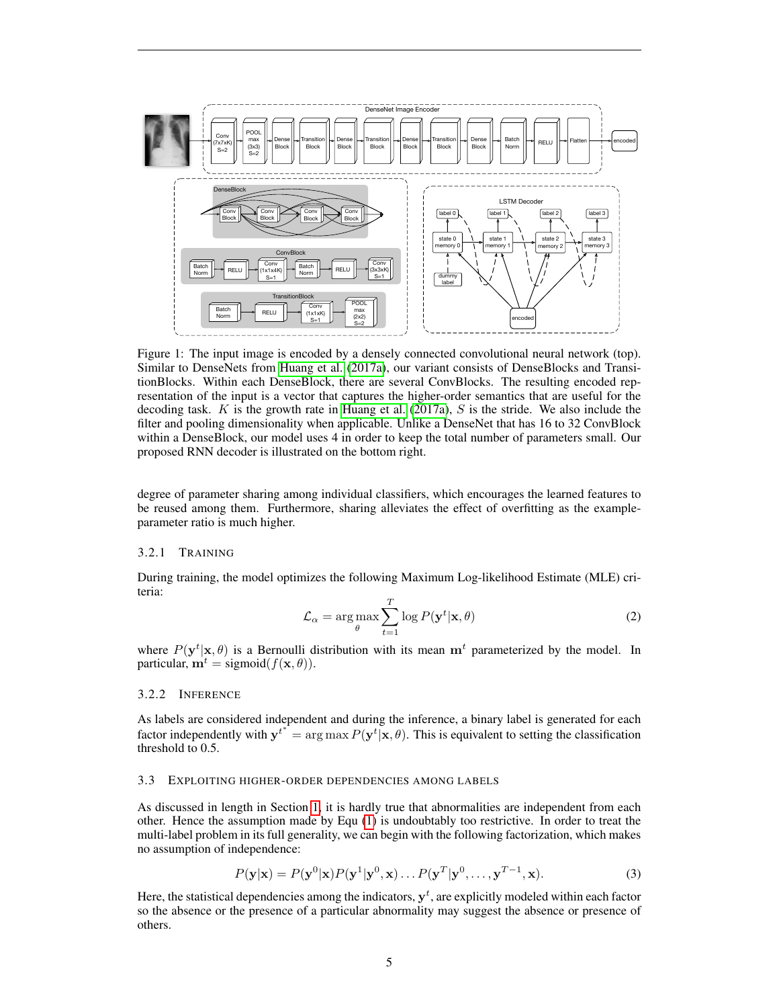<span id="page-4-0"></span>

Figure 1: The input image is encoded by a densely connected convolutional neural network (top). Similar to DenseNets from [Huang et al.](#page-9-5) [\(2017a\)](#page-9-5), our variant consists of DenseBlocks and TransitionBlocks. Within each DenseBlock, there are several ConvBlocks. The resulting encoded representation of the input is a vector that captures the higher-order semantics that are useful for the decoding task.  $K$  is the growth rate in [Huang et al.](#page-9-5) [\(2017a\)](#page-9-5),  $S$  is the stride. We also include the filter and pooling dimensionality when applicable. Unlike a DenseNet that has 16 to 32 ConvBlock within a DenseBlock, our model uses 4 in order to keep the total number of parameters small. Our proposed RNN decoder is illustrated on the bottom right.

degree of parameter sharing among individual classifiers, which encourages the learned features to be reused among them. Furthermore, sharing alleviates the effect of overfitting as the exampleparameter ratio is much higher.

## 3.2.1 TRAINING

During training, the model optimizes the following Maximum Log-likelihood Estimate (MLE) criteria:

$$
\mathcal{L}_{\alpha} = \arg \max_{\theta} \sum_{t=1}^{T} \log P(\mathbf{y}^t | \mathbf{x}, \theta)
$$
 (2)

where  $P(\mathbf{y}^t|\mathbf{x},\theta)$  is a Bernoulli distribution with its mean  $\mathbf{m}^t$  parameterized by the model. In particular,  $\mathbf{m}^t = \text{sigmoid}(f(\mathbf{x}, \theta)).$ 

#### 3.2.2 INFERENCE

As labels are considered independent and during the inference, a binary label is generated for each factor independently with  ${\bf y}^{t^*} = \arg \max P({\bf y}^t | {\bf x}, \theta)$ . This is equivalent to setting the classification threshold to 0.5.

#### <span id="page-4-2"></span>3.3 EXPLOITING HIGHER-ORDER DEPENDENCIES AMONG LABELS

As discussed in length in Section [1,](#page-0-0) it is hardly true that abnormalities are independent from each other. Hence the assumption made by Equ [\(1\)](#page-3-0) is undoubtably too restrictive. In order to treat the multi-label problem in its full generality, we can begin with the following factorization, which makes no assumption of independence:

<span id="page-4-1"></span>
$$
P(\mathbf{y}|\mathbf{x}) = P(\mathbf{y}^0|\mathbf{x})P(\mathbf{y}^1|\mathbf{y}^0,\mathbf{x})\dots P(\mathbf{y}^T|\mathbf{y}^0,\dots,\mathbf{y}^{T-1},\mathbf{x}).
$$
\n(3)

Here, the statistical dependencies among the indicators,  $y^t$ , are explicitly modeled within each factor so the absence or the presence of a particular abnormality may suggest the absence or presence of others.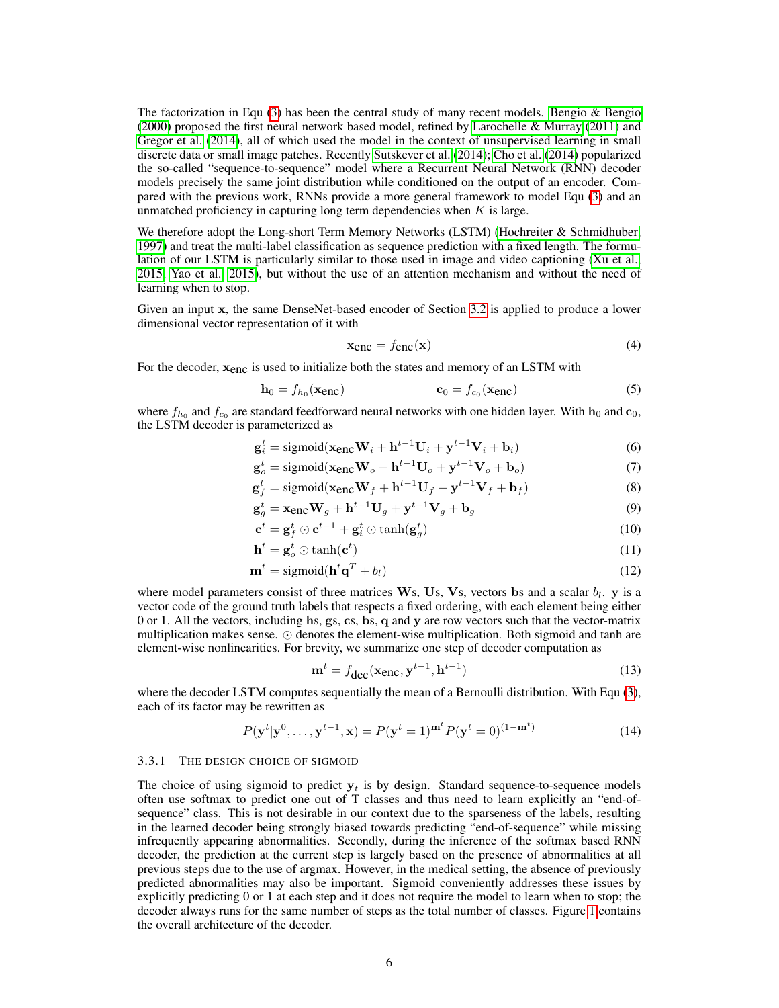The factorization in Equ  $(3)$  has been the central study of many recent models. [Bengio & Bengio](#page-9-7) [\(2000\)](#page-9-7) proposed the first neural network based model, refined by [Larochelle & Murray](#page-10-13) [\(2011\)](#page-10-13) and [Gregor et al.](#page-9-8) [\(2014\)](#page-9-8), all of which used the model in the context of unsupervised learning in small discrete data or small image patches. Recently [Sutskever et al.](#page-11-3) [\(2014\)](#page-11-3); [Cho et al.](#page-9-9) [\(2014\)](#page-9-9) popularized the so-called "sequence-to-sequence" model where a Recurrent Neural Network (RNN) decoder models precisely the same joint distribution while conditioned on the output of an encoder. Compared with the previous work, RNNs provide a more general framework to model Equ [\(3\)](#page-4-1) and an unmatched proficiency in capturing long term dependencies when  $K$  is large.

We therefore adopt the Long-short Term Memory Networks (LSTM) [\(Hochreiter & Schmidhuber,](#page-9-10) [1997\)](#page-9-10) and treat the multi-label classification as sequence prediction with a fixed length. The formulation of our LSTM is particularly similar to those used in image and video captioning [\(Xu et al.,](#page-11-4) [2015;](#page-11-4) [Yao et al., 2015\)](#page-11-5), but without the use of an attention mechanism and without the need of learning when to stop.

Given an input x, the same DenseNet-based encoder of Section [3.2](#page-3-1) is applied to produce a lower dimensional vector representation of it with

$$
x_{\text{enc}} = f_{\text{enc}}(x) \tag{4}
$$

For the decoder,  $x_{enc}$  is used to initialize both the states and memory of an LSTM with

$$
\mathbf{h}_0 = f_{h_0}(\mathbf{x}_{enc}) \qquad \mathbf{c}_0 = f_{c_0}(\mathbf{x}_{enc}) \tag{5}
$$

where  $f_{h_0}$  and  $f_{c_0}$  are standard feedforward neural networks with one hidden layer. With  $h_0$  and  $c_0$ , the LSTM decoder is parameterized as

$$
\mathbf{g}_i^t = \text{sigmoid}(\mathbf{x}_{\text{enc}} \mathbf{W}_i + \mathbf{h}^{t-1} \mathbf{U}_i + \mathbf{y}^{t-1} \mathbf{V}_i + \mathbf{b}_i)
$$
(6)

$$
\mathbf{g}_o^t = \text{sigmoid}(\mathbf{x}_{\text{enc}} \mathbf{W}_o + \mathbf{h}^{t-1} \mathbf{U}_o + \mathbf{y}^{t-1} \mathbf{V}_o + \mathbf{b}_o) \tag{7}
$$

$$
\mathbf{g}_f^t = \text{sigmoid}(\mathbf{x}_{\text{enc}} \mathbf{W}_f + \mathbf{h}^{t-1} \mathbf{U}_f + \mathbf{y}^{t-1} \mathbf{V}_f + \mathbf{b}_f)
$$
(8)

$$
\mathbf{g}_g^t = \mathbf{x}_{\text{enc}} \mathbf{W}_g + \mathbf{h}^{t-1} \mathbf{U}_g + \mathbf{y}^{t-1} \mathbf{V}_g + \mathbf{b}_g \tag{9}
$$

$$
\mathbf{c}^t = \mathbf{g}_f^t \odot \mathbf{c}^{t-1} + \mathbf{g}_i^t \odot \tanh(\mathbf{g}_g^t)
$$
 (10)

$$
\mathbf{h}^t = \mathbf{g}_o^t \odot \tanh(\mathbf{c}^t) \tag{11}
$$

$$
\mathbf{m}^t = \text{sigmoid}(\mathbf{h}^t \mathbf{q}^T + b_l) \tag{12}
$$

where model parameters consist of three matrices  $W_s$ , Us, Vs, vectors bs and a scalar  $b_l$ . y is a vector code of the ground truth labels that respects a fixed ordering, with each element being either 0 or 1. All the vectors, including hs, gs, cs, bs, q and y are row vectors such that the vector-matrix multiplication makes sense.  $\odot$  denotes the element-wise multiplication. Both sigmoid and tanh are element-wise nonlinearities. For brevity, we summarize one step of decoder computation as

$$
\mathbf{m}^t = f_{\text{dec}}(\mathbf{x}_{\text{enc}}, \mathbf{y}^{t-1}, \mathbf{h}^{t-1})
$$
\n(13)

where the decoder LSTM computes sequentially the mean of a Bernoulli distribution. With Equ [\(3\)](#page-4-1), each of its factor may be rewritten as

$$
P(\mathbf{y}^t | \mathbf{y}^0, \dots, \mathbf{y}^{t-1}, \mathbf{x}) = P(\mathbf{y}^t = 1)^{\mathbf{m}^t} P(\mathbf{y}^t = 0)^{(1 - \mathbf{m}^t)}
$$
(14)

#### <span id="page-5-0"></span>3.3.1 THE DESIGN CHOICE OF SIGMOID

The choice of using sigmoid to predict  $y_t$  is by design. Standard sequence-to-sequence models often use softmax to predict one out of T classes and thus need to learn explicitly an "end-ofsequence" class. This is not desirable in our context due to the sparseness of the labels, resulting in the learned decoder being strongly biased towards predicting "end-of-sequence" while missing infrequently appearing abnormalities. Secondly, during the inference of the softmax based RNN decoder, the prediction at the current step is largely based on the presence of abnormalities at all previous steps due to the use of argmax. However, in the medical setting, the absence of previously predicted abnormalities may also be important. Sigmoid conveniently addresses these issues by explicitly predicting 0 or 1 at each step and it does not require the model to learn when to stop; the decoder always runs for the same number of steps as the total number of classes. Figure [1](#page-4-0) contains the overall architecture of the decoder.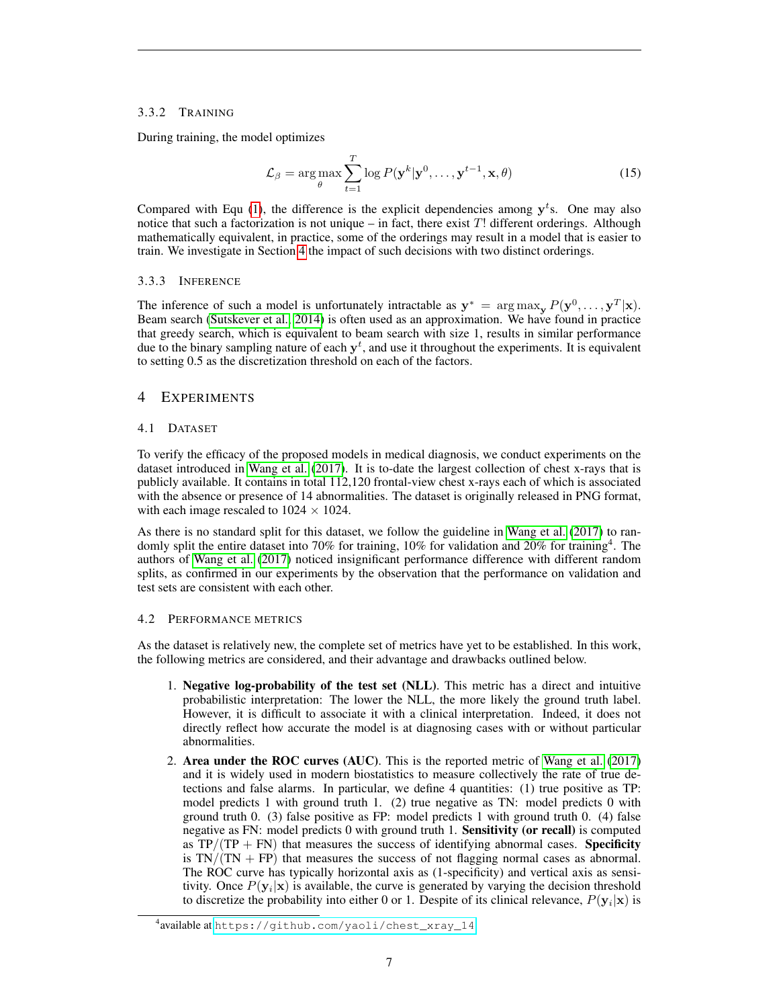## 3.3.2 TRAINING

During training, the model optimizes

$$
\mathcal{L}_{\beta} = \arg \max_{\theta} \sum_{t=1}^{T} \log P(\mathbf{y}^k | \mathbf{y}^0, \dots, \mathbf{y}^{t-1}, \mathbf{x}, \theta)
$$
\n(15)

Compared with Equ [\(1\)](#page-3-0), the difference is the explicit dependencies among  $y<sup>t</sup>$ s. One may also notice that such a factorization is not unique – in fact, there exist  $T!$  different orderings. Although mathematically equivalent, in practice, some of the orderings may result in a model that is easier to train. We investigate in Section [4](#page-6-0) the impact of such decisions with two distinct orderings.

#### 3.3.3 INFERENCE

The inference of such a model is unfortunately intractable as  $y^* = \arg \max_{y} P(y^0, \dots, y^T | x)$ . Beam search [\(Sutskever et al., 2014\)](#page-11-3) is often used as an approximation. We have found in practice that greedy search, which is equivalent to beam search with size 1, results in similar performance due to the binary sampling nature of each  $y<sup>t</sup>$ , and use it throughout the experiments. It is equivalent to setting 0.5 as the discretization threshold on each of the factors.

## <span id="page-6-0"></span>4 EXPERIMENTS

## 4.1 DATASET

To verify the efficacy of the proposed models in medical diagnosis, we conduct experiments on the dataset introduced in [Wang et al.](#page-11-1) [\(2017\)](#page-11-1). It is to-date the largest collection of chest x-rays that is publicly available. It contains in total 112,120 frontal-view chest x-rays each of which is associated with the absence or presence of 14 abnormalities. The dataset is originally released in PNG format, with each image rescaled to  $1024 \times 1024$ .

As there is no standard split for this dataset, we follow the guideline in [Wang et al.](#page-11-1) [\(2017\)](#page-11-1) to randomly split the entire dataset into 70% for training, 10% for validation and 20% for training<sup>4</sup>. The authors of [Wang et al.](#page-11-1) [\(2017\)](#page-11-1) noticed insignificant performance difference with different random splits, as confirmed in our experiments by the observation that the performance on validation and test sets are consistent with each other.

#### <span id="page-6-1"></span>4.2 PERFORMANCE METRICS

As the dataset is relatively new, the complete set of metrics have yet to be established. In this work, the following metrics are considered, and their advantage and drawbacks outlined below.

- 1. Negative log-probability of the test set (NLL). This metric has a direct and intuitive probabilistic interpretation: The lower the NLL, the more likely the ground truth label. However, it is difficult to associate it with a clinical interpretation. Indeed, it does not directly reflect how accurate the model is at diagnosing cases with or without particular abnormalities.
- 2. Area under the ROC curves (AUC). This is the reported metric of [Wang et al.](#page-11-1) [\(2017\)](#page-11-1) and it is widely used in modern biostatistics to measure collectively the rate of true detections and false alarms. In particular, we define 4 quantities: (1) true positive as TP: model predicts 1 with ground truth 1. (2) true negative as TN: model predicts 0 with ground truth 0. (3) false positive as FP: model predicts 1 with ground truth 0. (4) false negative as FN: model predicts 0 with ground truth 1. Sensitivity (or recall) is computed as  $TP/(TP + FN)$  that measures the success of identifying abnormal cases. Specificity is  $TN/(TN + FP)$  that measures the success of not flagging normal cases as abnormal. The ROC curve has typically horizontal axis as (1-specificity) and vertical axis as sensitivity. Once  $P(y_i|x)$  is available, the curve is generated by varying the decision threshold to discretize the probability into either 0 or 1. Despite of its clinical relevance,  $P(\mathbf{y}_i|\mathbf{x})$  is

<sup>4</sup> available at [https://github.com/yaoli/chest\\_xray\\_14](https://github.com/yaoli/chest_xray_14)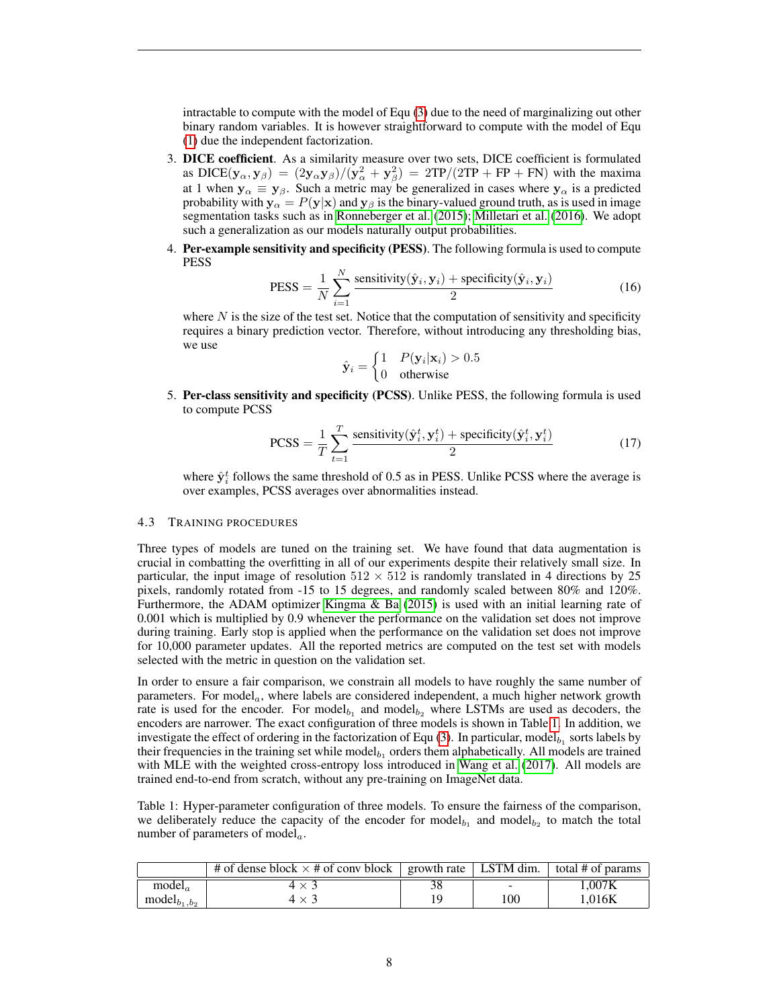intractable to compute with the model of Equ [\(3\)](#page-4-1) due to the need of marginalizing out other binary random variables. It is however straightforward to compute with the model of Equ [\(1\)](#page-3-0) due the independent factorization.

- 3. DICE coefficient. As a similarity measure over two sets, DICE coefficient is formulated as DICE( $y_\alpha, y_\beta$ ) =  $(2y_\alpha y_\beta)/(y_\alpha^2 + y_\beta^2) = 2TP/(2TP + FP + FN)$  with the maxima at 1 when  $y_{\alpha} \equiv y_{\beta}$ . Such a metric may be generalized in cases where  $y_{\alpha}$  is a predicted probability with  $y_{\alpha} = P(y|x)$  and  $y_{\beta}$  is the binary-valued ground truth, as is used in image segmentation tasks such as in [Ronneberger et al.](#page-10-5) [\(2015\)](#page-10-5); [Milletari et al.](#page-10-6) [\(2016\)](#page-10-6). We adopt such a generalization as our models naturally output probabilities.
- 4. Per-example sensitivity and specificity (PESS). The following formula is used to compute PESS

$$
PESS = \frac{1}{N} \sum_{i=1}^{N} \frac{\text{sensitivity}(\hat{\mathbf{y}}_i, \mathbf{y}_i) + \text{specificity}(\hat{\mathbf{y}}_i, \mathbf{y}_i)}{2}
$$
(16)

where  $N$  is the size of the test set. Notice that the computation of sensitivity and specificity requires a binary prediction vector. Therefore, without introducing any thresholding bias, we use

$$
\hat{\mathbf{y}}_i = \begin{cases} 1 & P(\mathbf{y}_i|\mathbf{x}_i) > 0.5 \\ 0 & \text{otherwise} \end{cases}
$$

5. Per-class sensitivity and specificity (PCSS). Unlike PESS, the following formula is used to compute PCSS

$$
PCSS = \frac{1}{T} \sum_{t=1}^{T} \frac{\text{sensitivity}(\hat{\mathbf{y}}_i^t, \mathbf{y}_i^t) + \text{specificity}(\hat{\mathbf{y}}_i^t, \mathbf{y}_i^t)}{2}
$$
(17)

where  $\hat{\mathbf{y}}_i^t$  follows the same threshold of 0.5 as in PESS. Unlike PCSS where the average is over examples, PCSS averages over abnormalities instead.

## 4.3 TRAINING PROCEDURES

Three types of models are tuned on the training set. We have found that data augmentation is crucial in combatting the overfitting in all of our experiments despite their relatively small size. In particular, the input image of resolution  $512 \times 512$  is randomly translated in 4 directions by 25 pixels, randomly rotated from -15 to 15 degrees, and randomly scaled between 80% and 120%. Furthermore, the ADAM optimizer [Kingma & Ba](#page-10-16) [\(2015\)](#page-10-16) is used with an initial learning rate of 0.001 which is multiplied by 0.9 whenever the performance on the validation set does not improve during training. Early stop is applied when the performance on the validation set does not improve for 10,000 parameter updates. All the reported metrics are computed on the test set with models selected with the metric in question on the validation set.

In order to ensure a fair comparison, we constrain all models to have roughly the same number of parameters. For model<sub>a</sub>, where labels are considered independent, a much higher network growth rate is used for the encoder. For model<sub> $b_1$ </sub> and model<sub> $b_2$ </sub> where LSTMs are used as decoders, the encoders are narrower. The exact configuration of three models is shown in Table [1.](#page-7-0) In addition, we investigate the effect of ordering in the factorization of Equ  $(3)$ . In particular, model<sub>b1</sub> sorts labels by their frequencies in the training set while model $b_1$  orders them alphabetically. All models are trained with MLE with the weighted cross-entropy loss introduced in [Wang et al.](#page-11-1) [\(2017\)](#page-11-1). All models are trained end-to-end from scratch, without any pre-training on ImageNet data.

<span id="page-7-0"></span>Table 1: Hyper-parameter configuration of three models. To ensure the fairness of the comparison, we deliberately reduce the capacity of the encoder for model<sub> $b_1$ </sub> and model<sub> $b_2$ </sub> to match the total number of parameters of model $_a$ .

|                    | # of dense block $\times$ # of conv block   growth rate   LSTM dim.   total # of params |    |                          |                   |
|--------------------|-----------------------------------------------------------------------------------------|----|--------------------------|-------------------|
| model <sub>a</sub> |                                                                                         | 38 | $\overline{\phantom{0}}$ | $0.007\mathrm{K}$ |
| $model_{b_1,b_2}$  | $4 \times$                                                                              | 19 | 100                      | 1.016K            |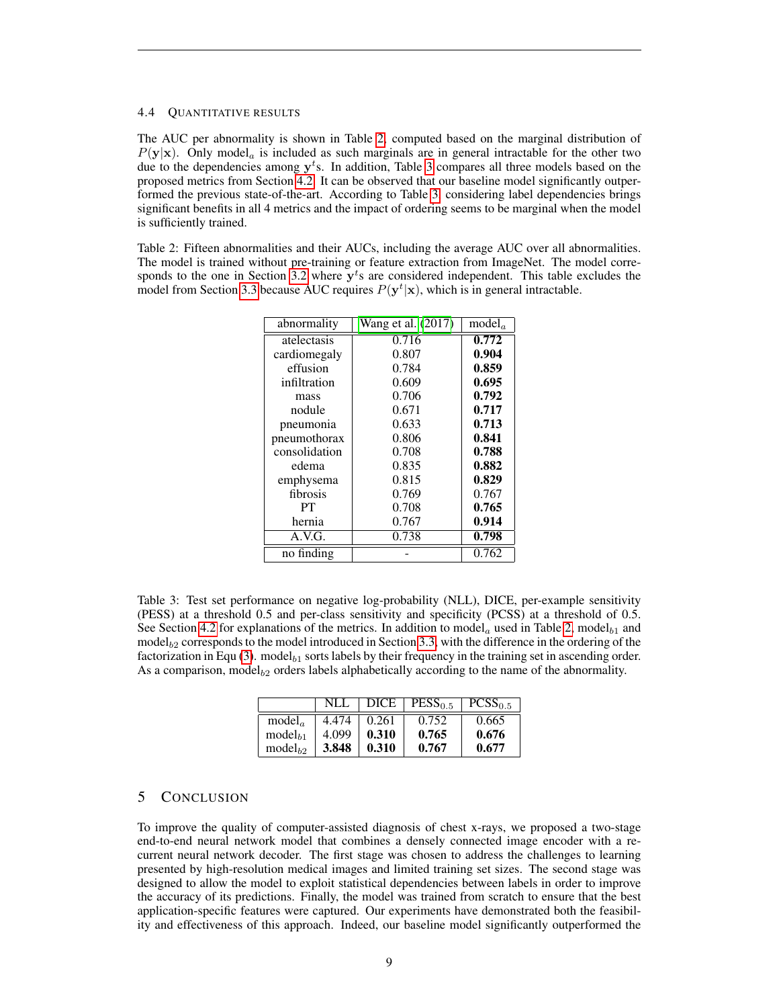#### 4.4 QUANTITATIVE RESULTS

The AUC per abnormality is shown in Table [2,](#page-8-0) computed based on the marginal distribution of  $P(y|x)$ . Only model<sub>a</sub> is included as such marginals are in general intractable for the other two due to the dependencies among  $y<sup>t</sup>$ s. In addition, Table [3](#page-8-1) compares all three models based on the proposed metrics from Section [4.2.](#page-6-1) It can be observed that our baseline model significantly outperformed the previous state-of-the-art. According to Table [3,](#page-8-1) considering label dependencies brings significant benefits in all 4 metrics and the impact of ordering seems to be marginal when the model is sufficiently trained.

<span id="page-8-0"></span>Table 2: Fifteen abnormalities and their AUCs, including the average AUC over all abnormalities. The model is trained without pre-training or feature extraction from ImageNet. The model corre-sponds to the one in Section [3.2](#page-3-1) where  $y<sup>t</sup>$ s are considered independent. This table excludes the model from Section [3.3](#page-4-2) because AUC requires  $P(y^t|x)$ , which is in general intractable.

| abnormality   | Wang et al. $(2\overline{017})$ | model <sub>a</sub> |
|---------------|---------------------------------|--------------------|
| atelectasis   | 0.716                           | 0.772              |
| cardiomegaly  | 0.807                           | 0.904              |
| effusion      | 0.784                           | 0.859              |
| infiltration  | 0.609                           | 0.695              |
| mass          | 0.706                           | 0.792              |
| nodule        | 0.671                           | 0.717              |
| pneumonia     | 0.633                           | 0.713              |
| pneumothorax  | 0.806                           | 0.841              |
| consolidation | 0.708                           | 0.788              |
| edema         | 0.835                           | 0.882              |
| emphysema     | 0.815                           | 0.829              |
| fibrosis      | 0.769                           | 0.767              |
| PT            | 0.708                           | 0.765              |
| hernia        | 0.767                           | 0.914              |
| A.V.G.        | 0.738                           | 0.798              |
| no finding    |                                 | 0.762              |

<span id="page-8-1"></span>Table 3: Test set performance on negative log-probability (NLL), DICE, per-example sensitivity (PESS) at a threshold 0.5 and per-class sensitivity and specificity (PCSS) at a threshold of 0.5. See Section [4.2](#page-6-1) for explanations of the metrics. In addition to model<sub>a</sub> used in Table [2,](#page-8-0) model<sub>b1</sub> and model $b_2$  corresponds to the model introduced in Section [3.3,](#page-4-2) with the difference in the ordering of the factorization in Equ [\(3\)](#page-4-1). model $_{b_1}$  sorts labels by their frequency in the training set in ascending order. As a comparison, model $_{b2}$  orders labels alphabetically according to the name of the abnormality.

|                     | NLL   | DICE  | PESS <sub>0.5</sub> | $PCSS_{0.5}$ |
|---------------------|-------|-------|---------------------|--------------|
| model <sub>a</sub>  | 4.474 | 0.261 | 0.752               | 0.665        |
| model <sub>h1</sub> | 4.099 | 0.310 | 0.765               | 0.676        |
| model <sub>b2</sub> | 3.848 | 0.310 | 0.767               | 0.677        |

# 5 CONCLUSION

To improve the quality of computer-assisted diagnosis of chest x-rays, we proposed a two-stage end-to-end neural network model that combines a densely connected image encoder with a recurrent neural network decoder. The first stage was chosen to address the challenges to learning presented by high-resolution medical images and limited training set sizes. The second stage was designed to allow the model to exploit statistical dependencies between labels in order to improve the accuracy of its predictions. Finally, the model was trained from scratch to ensure that the best application-specific features were captured. Our experiments have demonstrated both the feasibility and effectiveness of this approach. Indeed, our baseline model significantly outperformed the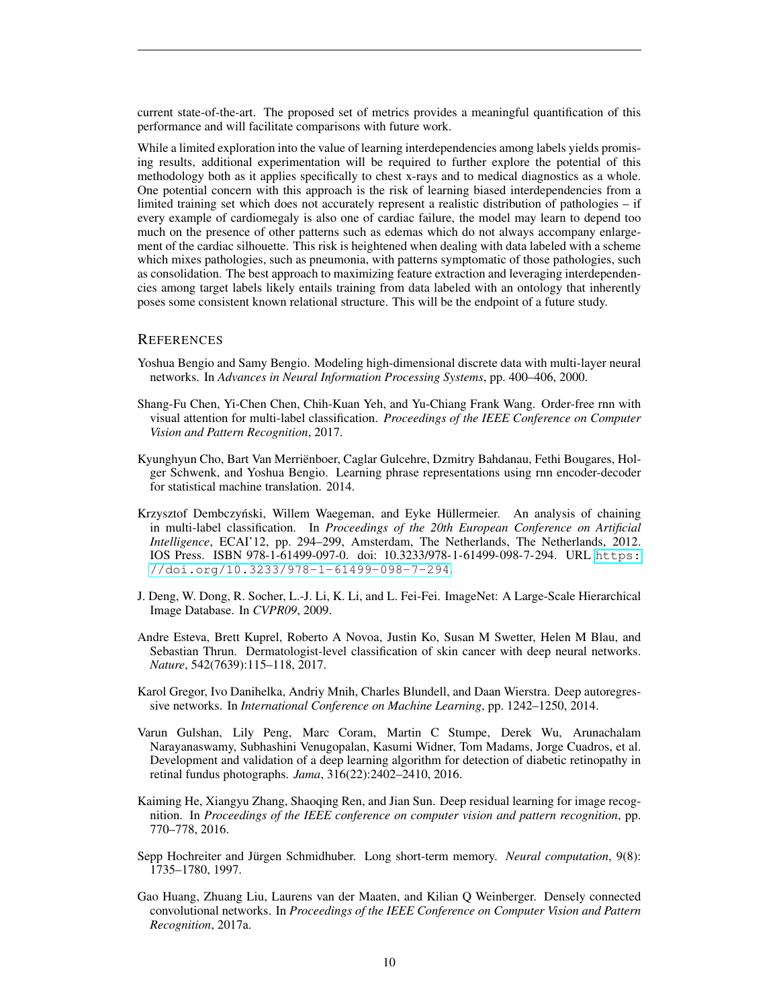current state-of-the-art. The proposed set of metrics provides a meaningful quantification of this performance and will facilitate comparisons with future work.

While a limited exploration into the value of learning interdependencies among labels yields promising results, additional experimentation will be required to further explore the potential of this methodology both as it applies specifically to chest x-rays and to medical diagnostics as a whole. One potential concern with this approach is the risk of learning biased interdependencies from a limited training set which does not accurately represent a realistic distribution of pathologies – if every example of cardiomegaly is also one of cardiac failure, the model may learn to depend too much on the presence of other patterns such as edemas which do not always accompany enlargement of the cardiac silhouette. This risk is heightened when dealing with data labeled with a scheme which mixes pathologies, such as pneumonia, with patterns symptomatic of those pathologies, such as consolidation. The best approach to maximizing feature extraction and leveraging interdependencies among target labels likely entails training from data labeled with an ontology that inherently poses some consistent known relational structure. This will be the endpoint of a future study.

## **REFERENCES**

- <span id="page-9-7"></span>Yoshua Bengio and Samy Bengio. Modeling high-dimensional discrete data with multi-layer neural networks. In *Advances in Neural Information Processing Systems*, pp. 400–406, 2000.
- <span id="page-9-1"></span>Shang-Fu Chen, Yi-Chen Chen, Chih-Kuan Yeh, and Yu-Chiang Frank Wang. Order-free rnn with visual attention for multi-label classification. *Proceedings of the IEEE Conference on Computer Vision and Pattern Recognition*, 2017.
- <span id="page-9-9"></span>Kyunghyun Cho, Bart Van Merrienboer, Caglar Gulcehre, Dzmitry Bahdanau, Fethi Bougares, Hol- ¨ ger Schwenk, and Yoshua Bengio. Learning phrase representations using rnn encoder-decoder for statistical machine translation. 2014.
- <span id="page-9-4"></span>Krzysztof Dembczyński, Willem Waegeman, and Eyke Hüllermeier. An analysis of chaining in multi-label classification. In *Proceedings of the 20th European Conference on Artificial Intelligence*, ECAI'12, pp. 294–299, Amsterdam, The Netherlands, The Netherlands, 2012. IOS Press. ISBN 978-1-61499-097-0. doi: 10.3233/978-1-61499-098-7-294. URL [https:](https://doi.org/10.3233/978-1-61499-098-7-294) [//doi.org/10.3233/978-1-61499-098-7-294](https://doi.org/10.3233/978-1-61499-098-7-294).
- <span id="page-9-0"></span>J. Deng, W. Dong, R. Socher, L.-J. Li, K. Li, and L. Fei-Fei. ImageNet: A Large-Scale Hierarchical Image Database. In *CVPR09*, 2009.
- <span id="page-9-2"></span>Andre Esteva, Brett Kuprel, Roberto A Novoa, Justin Ko, Susan M Swetter, Helen M Blau, and Sebastian Thrun. Dermatologist-level classification of skin cancer with deep neural networks. *Nature*, 542(7639):115–118, 2017.
- <span id="page-9-8"></span>Karol Gregor, Ivo Danihelka, Andriy Mnih, Charles Blundell, and Daan Wierstra. Deep autoregressive networks. In *International Conference on Machine Learning*, pp. 1242–1250, 2014.
- <span id="page-9-3"></span>Varun Gulshan, Lily Peng, Marc Coram, Martin C Stumpe, Derek Wu, Arunachalam Narayanaswamy, Subhashini Venugopalan, Kasumi Widner, Tom Madams, Jorge Cuadros, et al. Development and validation of a deep learning algorithm for detection of diabetic retinopathy in retinal fundus photographs. *Jama*, 316(22):2402–2410, 2016.
- <span id="page-9-6"></span>Kaiming He, Xiangyu Zhang, Shaoqing Ren, and Jian Sun. Deep residual learning for image recognition. In *Proceedings of the IEEE conference on computer vision and pattern recognition*, pp. 770–778, 2016.
- <span id="page-9-10"></span>Sepp Hochreiter and Jürgen Schmidhuber. Long short-term memory. *Neural computation*, 9(8): 1735–1780, 1997.
- <span id="page-9-5"></span>Gao Huang, Zhuang Liu, Laurens van der Maaten, and Kilian Q Weinberger. Densely connected convolutional networks. In *Proceedings of the IEEE Conference on Computer Vision and Pattern Recognition*, 2017a.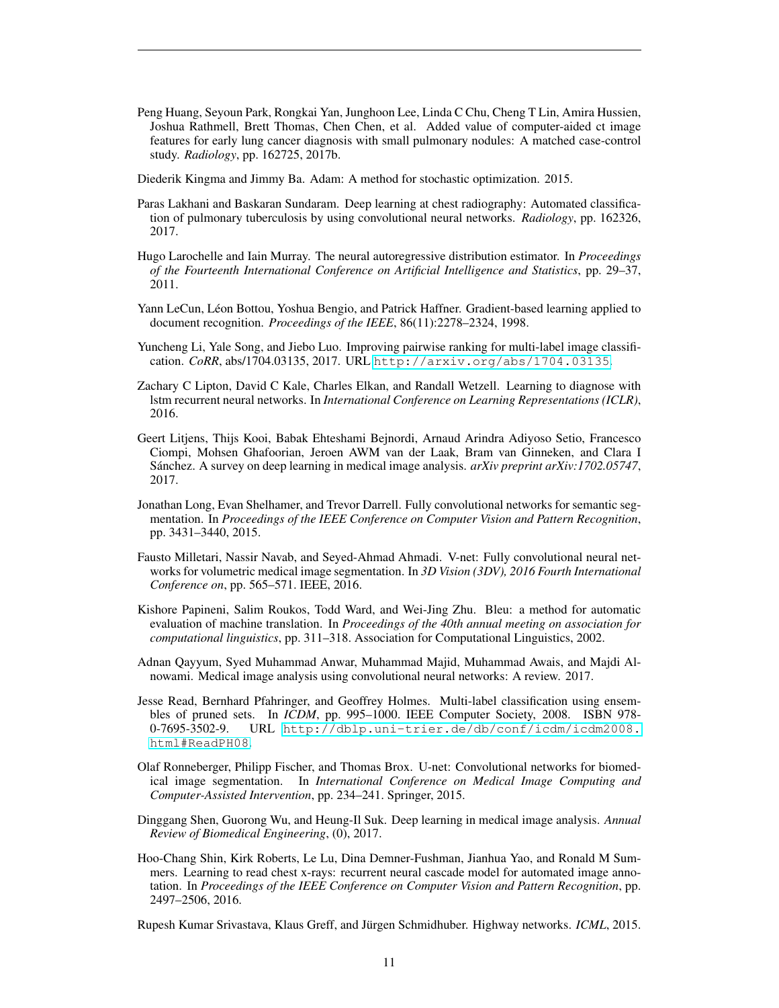<span id="page-10-9"></span>Peng Huang, Seyoun Park, Rongkai Yan, Junghoon Lee, Linda C Chu, Cheng T Lin, Amira Hussien, Joshua Rathmell, Brett Thomas, Chen Chen, et al. Added value of computer-aided ct image features for early lung cancer diagnosis with small pulmonary nodules: A matched case-control study. *Radiology*, pp. 162725, 2017b.

<span id="page-10-16"></span>Diederik Kingma and Jimmy Ba. Adam: A method for stochastic optimization. 2015.

- <span id="page-10-8"></span>Paras Lakhani and Baskaran Sundaram. Deep learning at chest radiography: Automated classification of pulmonary tuberculosis by using convolutional neural networks. *Radiology*, pp. 162326, 2017.
- <span id="page-10-13"></span>Hugo Larochelle and Iain Murray. The neural autoregressive distribution estimator. In *Proceedings of the Fourteenth International Conference on Artificial Intelligence and Statistics*, pp. 29–37, 2011.
- <span id="page-10-4"></span>Yann LeCun, Léon Bottou, Yoshua Bengio, and Patrick Haffner. Gradient-based learning applied to document recognition. *Proceedings of the IEEE*, 86(11):2278–2324, 1998.
- <span id="page-10-11"></span>Yuncheng Li, Yale Song, and Jiebo Luo. Improving pairwise ranking for multi-label image classification. *CoRR*, abs/1704.03135, 2017. URL <http://arxiv.org/abs/1704.03135>.
- <span id="page-10-12"></span>Zachary C Lipton, David C Kale, Charles Elkan, and Randall Wetzell. Learning to diagnose with lstm recurrent neural networks. In *International Conference on Learning Representations (ICLR)*, 2016.
- <span id="page-10-1"></span>Geert Litjens, Thijs Kooi, Babak Ehteshami Bejnordi, Arnaud Arindra Adiyoso Setio, Francesco Ciompi, Mohsen Ghafoorian, Jeroen AWM van der Laak, Bram van Ginneken, and Clara I Sánchez. A survey on deep learning in medical image analysis. *arXiv preprint arXiv:1702.05747*, 2017.
- <span id="page-10-7"></span>Jonathan Long, Evan Shelhamer, and Trevor Darrell. Fully convolutional networks for semantic segmentation. In *Proceedings of the IEEE Conference on Computer Vision and Pattern Recognition*, pp. 3431–3440, 2015.
- <span id="page-10-6"></span>Fausto Milletari, Nassir Navab, and Seyed-Ahmad Ahmadi. V-net: Fully convolutional neural networks for volumetric medical image segmentation. In *3D Vision (3DV), 2016 Fourth International Conference on*, pp. 565–571. IEEE, 2016.
- <span id="page-10-14"></span>Kishore Papineni, Salim Roukos, Todd Ward, and Wei-Jing Zhu. Bleu: a method for automatic evaluation of machine translation. In *Proceedings of the 40th annual meeting on association for computational linguistics*, pp. 311–318. Association for Computational Linguistics, 2002.
- <span id="page-10-3"></span>Adnan Qayyum, Syed Muhammad Anwar, Muhammad Majid, Muhammad Awais, and Majdi Alnowami. Medical image analysis using convolutional neural networks: A review. 2017.
- <span id="page-10-10"></span>Jesse Read, Bernhard Pfahringer, and Geoffrey Holmes. Multi-label classification using ensembles of pruned sets. In *ICDM*, pp. 995–1000. IEEE Computer Society, 2008. ISBN 978- 0-7695-3502-9. URL [http://dblp.uni-trier.de/db/conf/icdm/icdm2008.](http://dblp.uni-trier.de/db/conf/icdm/icdm2008.html#ReadPH08) [html#ReadPH08](http://dblp.uni-trier.de/db/conf/icdm/icdm2008.html#ReadPH08).
- <span id="page-10-5"></span>Olaf Ronneberger, Philipp Fischer, and Thomas Brox. U-net: Convolutional networks for biomedical image segmentation. In *International Conference on Medical Image Computing and Computer-Assisted Intervention*, pp. 234–241. Springer, 2015.
- <span id="page-10-2"></span>Dinggang Shen, Guorong Wu, and Heung-Il Suk. Deep learning in medical image analysis. *Annual Review of Biomedical Engineering*, (0), 2017.
- <span id="page-10-0"></span>Hoo-Chang Shin, Kirk Roberts, Le Lu, Dina Demner-Fushman, Jianhua Yao, and Ronald M Summers. Learning to read chest x-rays: recurrent neural cascade model for automated image annotation. In *Proceedings of the IEEE Conference on Computer Vision and Pattern Recognition*, pp. 2497–2506, 2016.

<span id="page-10-15"></span>Rupesh Kumar Srivastava, Klaus Greff, and Jürgen Schmidhuber. Highway networks. ICML, 2015.